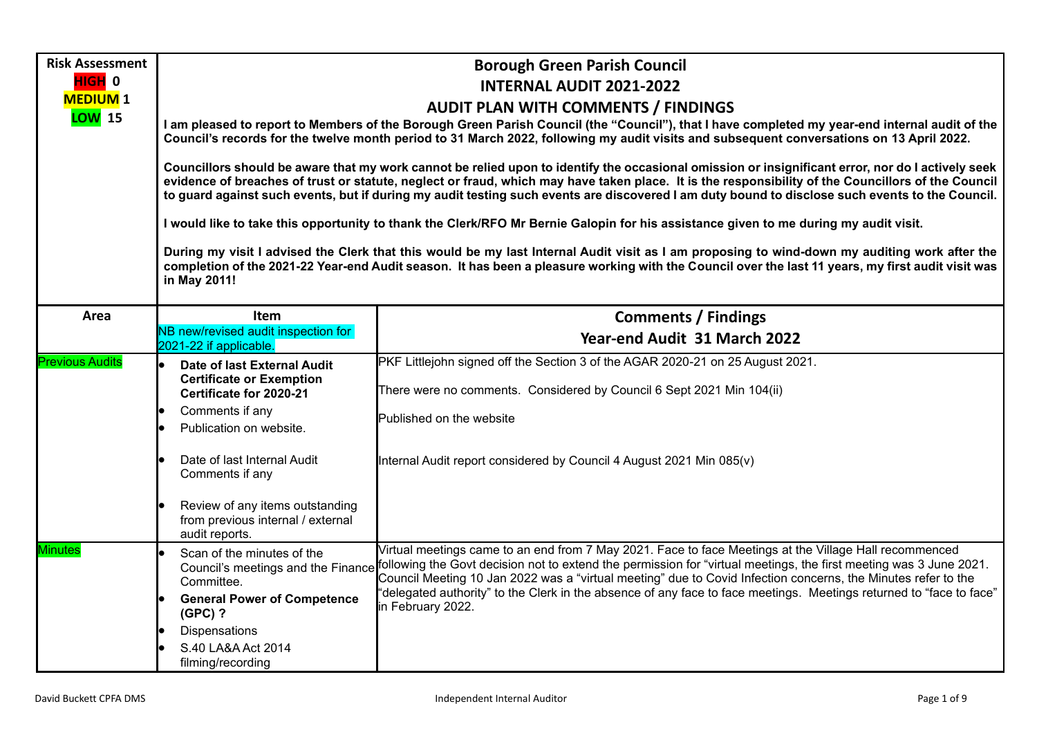| <b>Risk Assessment</b>     | <b>Borough Green Parish Council</b>                                                                                                                                                                                                                                                                                                                                                                                                                        |                                                                                                                                                                                                                                                                                                                                                                                  |  |  |  |  |
|----------------------------|------------------------------------------------------------------------------------------------------------------------------------------------------------------------------------------------------------------------------------------------------------------------------------------------------------------------------------------------------------------------------------------------------------------------------------------------------------|----------------------------------------------------------------------------------------------------------------------------------------------------------------------------------------------------------------------------------------------------------------------------------------------------------------------------------------------------------------------------------|--|--|--|--|
| HIGH 0                     | <b>INTERNAL AUDIT 2021-2022</b>                                                                                                                                                                                                                                                                                                                                                                                                                            |                                                                                                                                                                                                                                                                                                                                                                                  |  |  |  |  |
| <b>MEDIUM</b> <sub>1</sub> | <b>AUDIT PLAN WITH COMMENTS / FINDINGS</b>                                                                                                                                                                                                                                                                                                                                                                                                                 |                                                                                                                                                                                                                                                                                                                                                                                  |  |  |  |  |
| <b>LOW</b> 15              |                                                                                                                                                                                                                                                                                                                                                                                                                                                            | I am pleased to report to Members of the Borough Green Parish Council (the "Council"), that I have completed my year-end internal audit of the<br>Council's records for the twelve month period to 31 March 2022, following my audit visits and subsequent conversations on 13 April 2022.                                                                                       |  |  |  |  |
|                            | Councillors should be aware that my work cannot be relied upon to identify the occasional omission or insignificant error, nor do I actively seek<br>evidence of breaches of trust or statute, neglect or fraud, which may have taken place. It is the responsibility of the Councillors of the Council<br>to guard against such events, but if during my audit testing such events are discovered I am duty bound to disclose such events to the Council. |                                                                                                                                                                                                                                                                                                                                                                                  |  |  |  |  |
|                            |                                                                                                                                                                                                                                                                                                                                                                                                                                                            | I would like to take this opportunity to thank the Clerk/RFO Mr Bernie Galopin for his assistance given to me during my audit visit.                                                                                                                                                                                                                                             |  |  |  |  |
|                            | During my visit I advised the Clerk that this would be my last Internal Audit visit as I am proposing to wind-down my auditing work after the<br>completion of the 2021-22 Year-end Audit season. It has been a pleasure working with the Council over the last 11 years, my first audit visit was<br>in May 2011!                                                                                                                                         |                                                                                                                                                                                                                                                                                                                                                                                  |  |  |  |  |
| Area                       | Item                                                                                                                                                                                                                                                                                                                                                                                                                                                       | <b>Comments / Findings</b>                                                                                                                                                                                                                                                                                                                                                       |  |  |  |  |
|                            | NB new/revised audit inspection for<br>2021-22 if applicable.                                                                                                                                                                                                                                                                                                                                                                                              | Year-end Audit 31 March 2022                                                                                                                                                                                                                                                                                                                                                     |  |  |  |  |
| <b>Previous Audits</b>     | Date of last External Audit<br><b>Certificate or Exemption</b><br>Certificate for 2020-21                                                                                                                                                                                                                                                                                                                                                                  | PKF Littlejohn signed off the Section 3 of the AGAR 2020-21 on 25 August 2021.<br>There were no comments. Considered by Council 6 Sept 2021 Min 104(ii)                                                                                                                                                                                                                          |  |  |  |  |
|                            | Comments if any                                                                                                                                                                                                                                                                                                                                                                                                                                            |                                                                                                                                                                                                                                                                                                                                                                                  |  |  |  |  |
|                            | Publication on website.                                                                                                                                                                                                                                                                                                                                                                                                                                    | Published on the website                                                                                                                                                                                                                                                                                                                                                         |  |  |  |  |
|                            | Date of last Internal Audit<br>Comments if any                                                                                                                                                                                                                                                                                                                                                                                                             | Internal Audit report considered by Council 4 August 2021 Min 085(v)                                                                                                                                                                                                                                                                                                             |  |  |  |  |
|                            | Review of any items outstanding<br>from previous internal / external<br>audit reports.                                                                                                                                                                                                                                                                                                                                                                     |                                                                                                                                                                                                                                                                                                                                                                                  |  |  |  |  |
| Minutes                    | Scan of the minutes of the<br>Committee.                                                                                                                                                                                                                                                                                                                                                                                                                   | Virtual meetings came to an end from 7 May 2021. Face to face Meetings at the Village Hall recommenced<br>Council's meetings and the Finance following the Govt decision not to extend the permission for "virtual meetings, the first meeting was 3 June 2021.<br>Council Meeting 10 Jan 2022 was a "virtual meeting" due to Covid Infection concerns, the Minutes refer to the |  |  |  |  |
|                            | <b>General Power of Competence</b><br>$(GPC)$ ?                                                                                                                                                                                                                                                                                                                                                                                                            | "delegated authority" to the Clerk in the absence of any face to face meetings. Meetings returned to "face to face"<br>in February 2022.                                                                                                                                                                                                                                         |  |  |  |  |
|                            | <b>Dispensations</b>                                                                                                                                                                                                                                                                                                                                                                                                                                       |                                                                                                                                                                                                                                                                                                                                                                                  |  |  |  |  |
|                            | S.40 LA&A Act 2014<br>filming/recording                                                                                                                                                                                                                                                                                                                                                                                                                    |                                                                                                                                                                                                                                                                                                                                                                                  |  |  |  |  |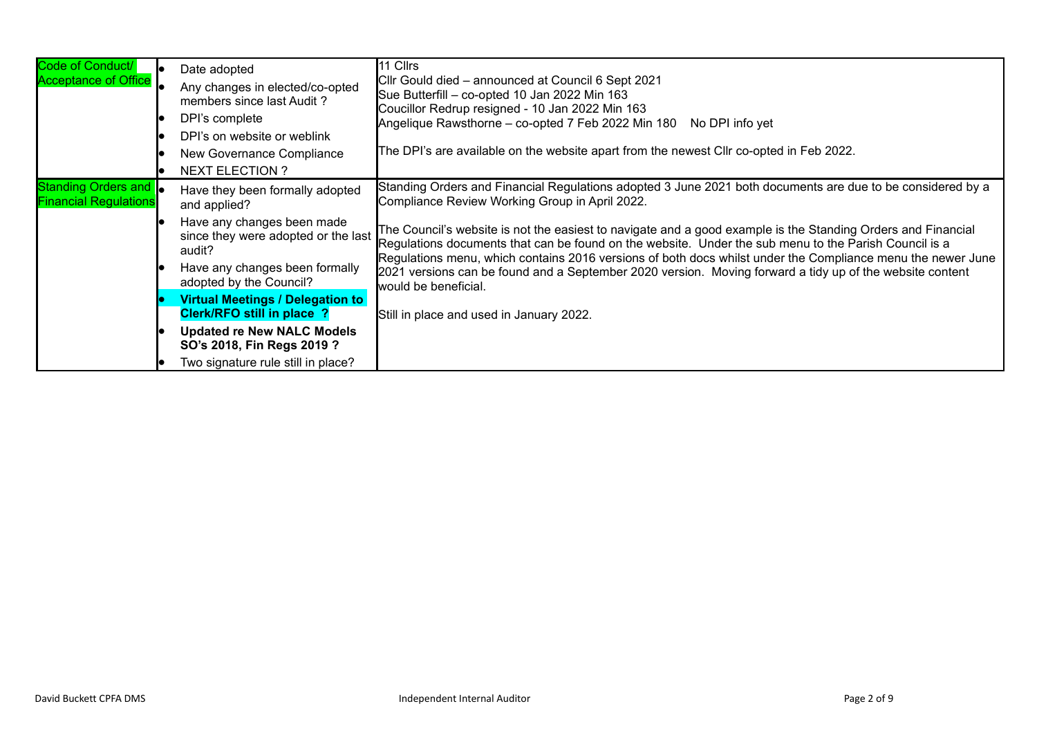| Code of Conduct/<br><b>Acceptance of Office</b>              | Date adopted<br>Any changes in elected/co-opted<br>members since last Audit?<br>DPI's complete<br>DPI's on website or weblink<br>New Governance Compliance<br><b>NEXT ELECTION ?</b>        | 11 Cllrs<br>Cllr Gould died – announced at Council 6 Sept 2021<br>Sue Butterfill - co-opted 10 Jan 2022 Min 163<br>Coucillor Redrup resigned - 10 Jan 2022 Min 163<br>Angelique Rawsthorne - co-opted 7 Feb 2022 Min 180 No DPI info yet<br>The DPI's are available on the website apart from the newest CIIr co-opted in Feb 2022.                                                                                                                                                                                                                                                                                                      |
|--------------------------------------------------------------|---------------------------------------------------------------------------------------------------------------------------------------------------------------------------------------------|------------------------------------------------------------------------------------------------------------------------------------------------------------------------------------------------------------------------------------------------------------------------------------------------------------------------------------------------------------------------------------------------------------------------------------------------------------------------------------------------------------------------------------------------------------------------------------------------------------------------------------------|
| Standing Orders and <b>.</b><br><b>Financial Regulations</b> | Have they been formally adopted<br>and applied?<br>Have any changes been made<br>since they were adopted or the last<br>audit?<br>Have any changes been formally<br>adopted by the Council? | Standing Orders and Financial Regulations adopted 3 June 2021 both documents are due to be considered by a<br>Compliance Review Working Group in April 2022.<br>The Council's website is not the easiest to navigate and a good example is the Standing Orders and Financial<br>Regulations documents that can be found on the website. Under the sub menu to the Parish Council is a<br>Regulations menu, which contains 2016 versions of both docs whilst under the Compliance menu the newer June<br>2021 versions can be found and a September 2020 version. Moving forward a tidy up of the website content<br>would be beneficial. |
|                                                              | <b>Virtual Meetings / Delegation to</b><br>Clerk/RFO still in place ?<br><b>Updated re New NALC Models</b><br>SO's 2018, Fin Regs 2019 ?<br>Two signature rule still in place?              | Still in place and used in January 2022.                                                                                                                                                                                                                                                                                                                                                                                                                                                                                                                                                                                                 |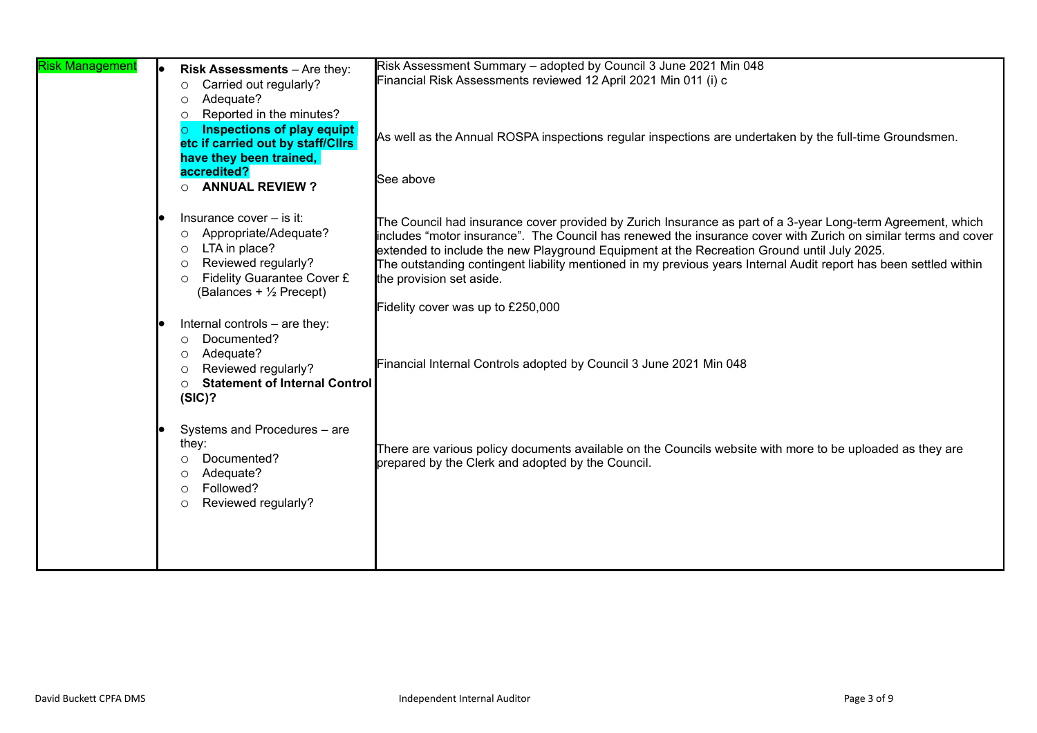| <b>Risk Management</b> | Risk Assessments - Are they:<br>Carried out regularly?<br>$\circ$<br>Adequate?<br>O<br>Reported in the minutes?<br>$\circ$<br><b>Inspections of play equipt</b><br>$\circ$<br>etc if carried out by staff/Cllrs<br>have they been trained,<br>accredited?<br><b>ANNUAL REVIEW?</b><br>$\circ$ | Risk Assessment Summary - adopted by Council 3 June 2021 Min 048<br>Financial Risk Assessments reviewed 12 April 2021 Min 011 (i) c<br>As well as the Annual ROSPA inspections regular inspections are undertaken by the full-time Groundsmen.<br>See above                                                                                                                                                                                                                                                       |
|------------------------|-----------------------------------------------------------------------------------------------------------------------------------------------------------------------------------------------------------------------------------------------------------------------------------------------|-------------------------------------------------------------------------------------------------------------------------------------------------------------------------------------------------------------------------------------------------------------------------------------------------------------------------------------------------------------------------------------------------------------------------------------------------------------------------------------------------------------------|
|                        | Insurance cover - is it:<br>Appropriate/Adequate?<br>$\circ$<br>LTA in place?<br>$\circ$<br>Reviewed regularly?<br>$\circ$<br>Fidelity Guarantee Cover £<br>$\circ$<br>(Balances + $\frac{1}{2}$ Precept)                                                                                     | The Council had insurance cover provided by Zurich Insurance as part of a 3-year Long-term Agreement, which<br>includes "motor insurance". The Council has renewed the insurance cover with Zurich on similar terms and cover<br>extended to include the new Playground Equipment at the Recreation Ground until July 2025.<br>The outstanding contingent liability mentioned in my previous years Internal Audit report has been settled within<br>the provision set aside.<br>Fidelity cover was up to £250,000 |
|                        | Internal controls - are they:<br>Documented?<br>$\circ$<br>Adequate?<br>$\circ$<br>Reviewed regularly?<br>$\circ$<br><b>Statement of Internal Control</b><br>$\circ$<br>(SIC)?                                                                                                                | Financial Internal Controls adopted by Council 3 June 2021 Min 048                                                                                                                                                                                                                                                                                                                                                                                                                                                |
|                        | Systems and Procedures - are<br>they:<br>Documented?<br>$\circ$<br>Adequate?<br>$\circ$<br>Followed?<br>$\circ$<br>Reviewed regularly?<br>$\circ$                                                                                                                                             | There are various policy documents available on the Councils website with more to be uploaded as they are<br>prepared by the Clerk and adopted by the Council.                                                                                                                                                                                                                                                                                                                                                    |
|                        |                                                                                                                                                                                                                                                                                               |                                                                                                                                                                                                                                                                                                                                                                                                                                                                                                                   |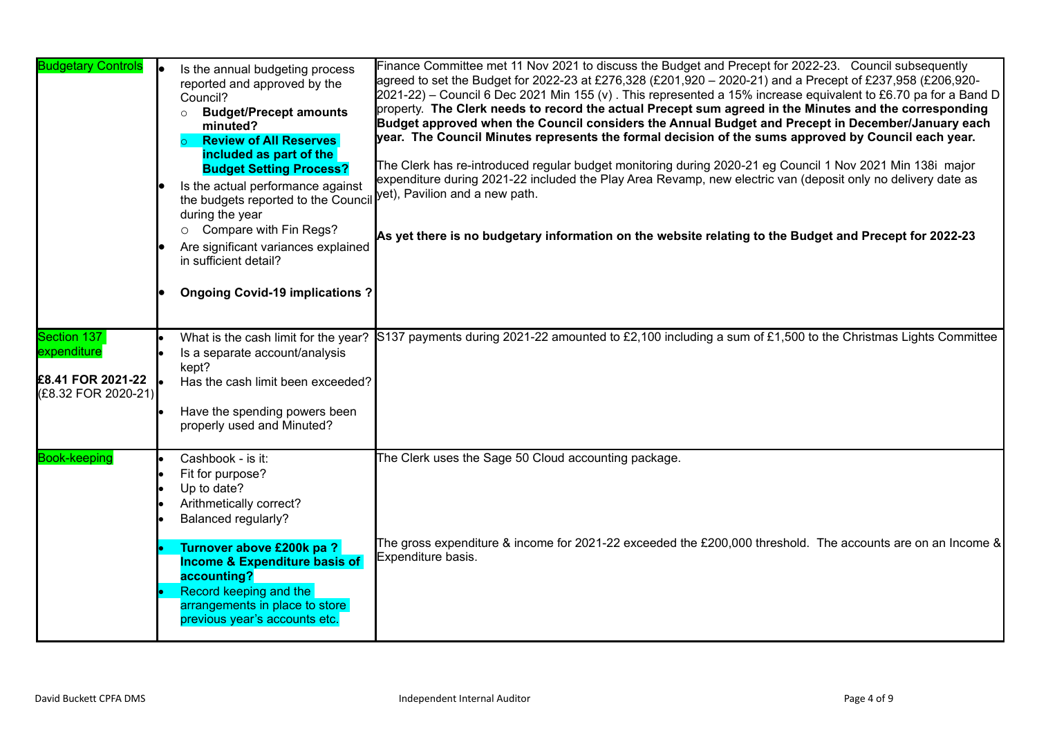| <b>Budgetary Controls</b>                                              | Is the annual budgeting process<br>reported and approved by the<br>Council?<br><b>Budget/Precept amounts</b><br>$\circ$<br>minuted?<br><b>Review of All Reserves</b><br>$\circ$<br>included as part of the<br><b>Budget Setting Process?</b><br>Is the actual performance against<br>the budgets reported to the Council<br>during the year<br>Compare with Fin Regs?<br>$\circ$<br>Are significant variances explained<br>in sufficient detail?<br><b>Ongoing Covid-19 implications?</b> | Finance Committee met 11 Nov 2021 to discuss the Budget and Precept for 2022-23. Council subsequently<br>agreed to set the Budget for 2022-23 at £276,328 (£201,920 - 2020-21) and a Precept of £237,958 (£206,920-<br>$2021-22$ ) – Council 6 Dec 2021 Min 155 (v). This represented a 15% increase equivalent to £6.70 pa for a Band D<br>property. The Clerk needs to record the actual Precept sum agreed in the Minutes and the corresponding<br>Budget approved when the Council considers the Annual Budget and Precept in December/January each<br>year. The Council Minutes represents the formal decision of the sums approved by Council each year.<br>The Clerk has re-introduced regular budget monitoring during 2020-21 eg Council 1 Nov 2021 Min 138i major<br>expenditure during 2021-22 included the Play Area Revamp, new electric van (deposit only no delivery date as<br>yet), Pavilion and a new path.<br>As yet there is no budgetary information on the website relating to the Budget and Precept for 2022-23 |
|------------------------------------------------------------------------|-------------------------------------------------------------------------------------------------------------------------------------------------------------------------------------------------------------------------------------------------------------------------------------------------------------------------------------------------------------------------------------------------------------------------------------------------------------------------------------------|-----------------------------------------------------------------------------------------------------------------------------------------------------------------------------------------------------------------------------------------------------------------------------------------------------------------------------------------------------------------------------------------------------------------------------------------------------------------------------------------------------------------------------------------------------------------------------------------------------------------------------------------------------------------------------------------------------------------------------------------------------------------------------------------------------------------------------------------------------------------------------------------------------------------------------------------------------------------------------------------------------------------------------------------|
| Section 137<br>expenditure<br>£8.41 FOR 2021-22<br>(£8.32 FOR 2020-21) | Is a separate account/analysis<br>kept?<br>Has the cash limit been exceeded?<br>Have the spending powers been<br>properly used and Minuted?                                                                                                                                                                                                                                                                                                                                               | What is the cash limit for the year? S137 payments during 2021-22 amounted to £2,100 including a sum of £1,500 to the Christmas Lights Committee                                                                                                                                                                                                                                                                                                                                                                                                                                                                                                                                                                                                                                                                                                                                                                                                                                                                                        |
| <b>Book-keeping</b>                                                    | Cashbook - is it:<br>Fit for purpose?<br>Up to date?<br>Arithmetically correct?<br>Balanced regularly?<br>Turnover above £200k pa?<br><b>Income &amp; Expenditure basis of</b><br>accounting?<br>Record keeping and the<br>arrangements in place to store<br>previous year's accounts etc.                                                                                                                                                                                                | The Clerk uses the Sage 50 Cloud accounting package.<br>The gross expenditure & income for 2021-22 exceeded the £200,000 threshold. The accounts are on an Income &<br>Expenditure basis.                                                                                                                                                                                                                                                                                                                                                                                                                                                                                                                                                                                                                                                                                                                                                                                                                                               |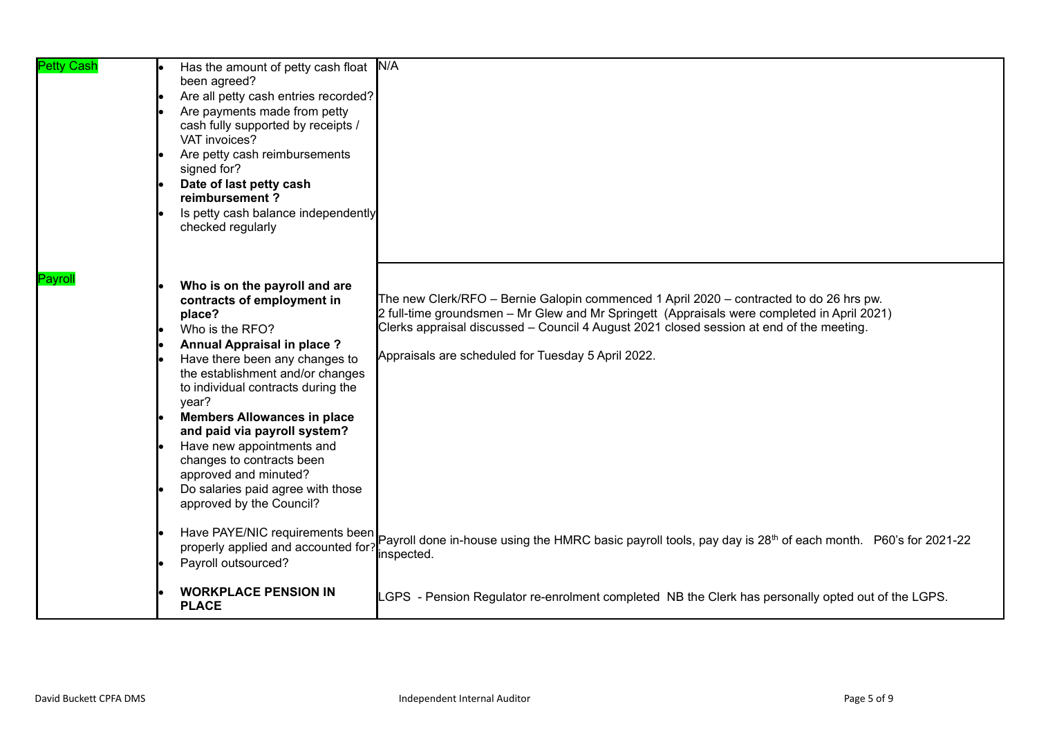| <b>Petty Cash</b> | Has the amount of petty cash float N/A<br>been agreed?<br>Are all petty cash entries recorded?<br>Are payments made from petty<br>cash fully supported by receipts /<br>VAT invoices?<br>Are petty cash reimbursements<br>signed for?<br>Date of last petty cash<br>reimbursement?<br>Is petty cash balance independently<br>checked regularly                                                                                                                         |                                                                                                                                                                                                                                                                                                                                          |
|-------------------|------------------------------------------------------------------------------------------------------------------------------------------------------------------------------------------------------------------------------------------------------------------------------------------------------------------------------------------------------------------------------------------------------------------------------------------------------------------------|------------------------------------------------------------------------------------------------------------------------------------------------------------------------------------------------------------------------------------------------------------------------------------------------------------------------------------------|
| Payrol            | Who is on the payroll and are<br>contracts of employment in<br>place?<br>Who is the RFO?<br>Annual Appraisal in place ?<br>Have there been any changes to<br>the establishment and/or changes<br>to individual contracts during the<br>year?<br><b>Members Allowances in place</b><br>and paid via payroll system?<br>Have new appointments and<br>changes to contracts been<br>approved and minuted?<br>Do salaries paid agree with those<br>approved by the Council? | The new Clerk/RFO - Bernie Galopin commenced 1 April 2020 - contracted to do 26 hrs pw.<br>2 full-time groundsmen – Mr Glew and Mr Springett (Appraisals were completed in April 2021)<br>Clerks appraisal discussed - Council 4 August 2021 closed session at end of the meeting.<br>Appraisals are scheduled for Tuesday 5 April 2022. |
| le                | Have PAYE/NIC requirements been<br>properly applied and accounted for?<br>Payroll outsourced?                                                                                                                                                                                                                                                                                                                                                                          | Payroll done in-house using the HMRC basic payroll tools, pay day is 28 <sup>th</sup> of each month. P60's for 2021-22<br>inspected.                                                                                                                                                                                                     |
|                   | <b>WORKPLACE PENSION IN</b><br><b>PLACE</b>                                                                                                                                                                                                                                                                                                                                                                                                                            | LGPS - Pension Regulator re-enrolment completed NB the Clerk has personally opted out of the LGPS.                                                                                                                                                                                                                                       |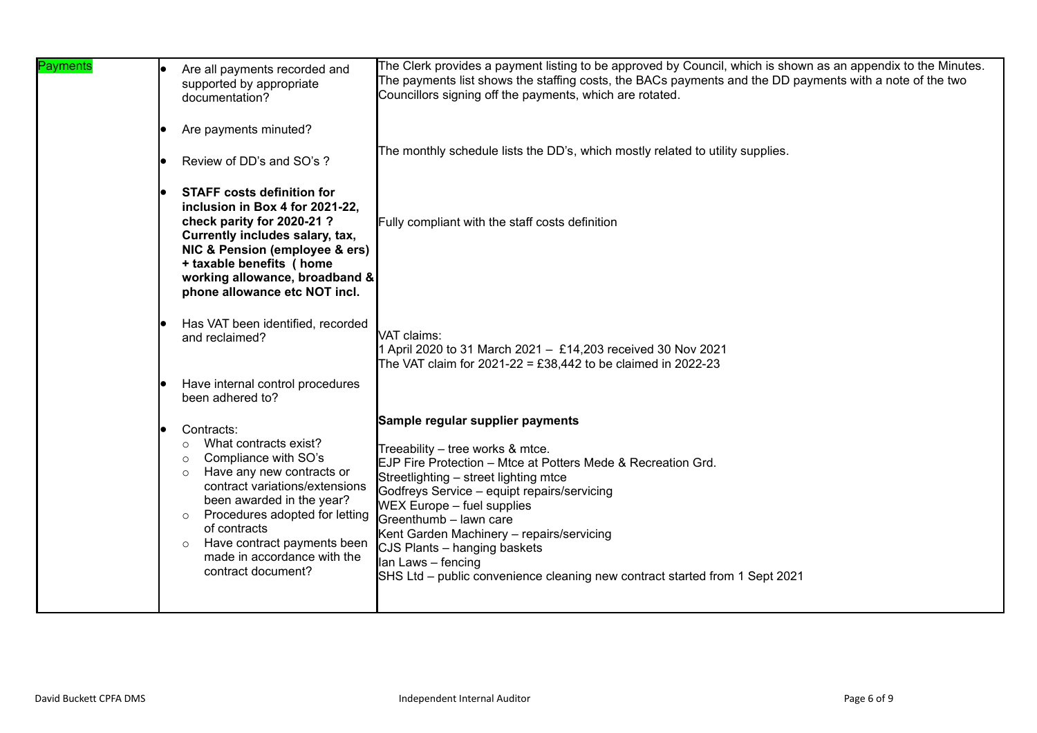| Payments | Are all payments recorded and<br>supported by appropriate<br>documentation?                                                                                                                                                                                                                                                                          | The Clerk provides a payment listing to be approved by Council, which is shown as an appendix to the Minutes.<br>The payments list shows the staffing costs, the BACs payments and the DD payments with a note of the two<br>Councillors signing off the payments, which are rotated.                                                                                                                                                                                         |
|----------|------------------------------------------------------------------------------------------------------------------------------------------------------------------------------------------------------------------------------------------------------------------------------------------------------------------------------------------------------|-------------------------------------------------------------------------------------------------------------------------------------------------------------------------------------------------------------------------------------------------------------------------------------------------------------------------------------------------------------------------------------------------------------------------------------------------------------------------------|
|          | Are payments minuted?<br>Review of DD's and SO's ?                                                                                                                                                                                                                                                                                                   | The monthly schedule lists the DD's, which mostly related to utility supplies.                                                                                                                                                                                                                                                                                                                                                                                                |
|          | <b>STAFF costs definition for</b><br>inclusion in Box 4 for 2021-22,<br>check parity for 2020-21?<br>Currently includes salary, tax,<br>NIC & Pension (employee & ers)<br>+ taxable benefits ( home<br>working allowance, broadband &<br>phone allowance etc NOT incl.                                                                               | Fully compliant with the staff costs definition                                                                                                                                                                                                                                                                                                                                                                                                                               |
|          | Has VAT been identified, recorded<br>and reclaimed?<br>Have internal control procedures                                                                                                                                                                                                                                                              | VAT claims:<br>April 2020 to 31 March 2021 - £14,203 received 30 Nov 2021<br>The VAT claim for 2021-22 = £38,442 to be claimed in 2022-23                                                                                                                                                                                                                                                                                                                                     |
|          | been adhered to?                                                                                                                                                                                                                                                                                                                                     |                                                                                                                                                                                                                                                                                                                                                                                                                                                                               |
|          | Contracts:<br>What contracts exist?<br>$\circ$<br>Compliance with SO's<br>$\circ$<br>Have any new contracts or<br>$\circ$<br>contract variations/extensions<br>been awarded in the year?<br>Procedures adopted for letting<br>$\circ$<br>of contracts<br>Have contract payments been<br>$\circ$<br>made in accordance with the<br>contract document? | Sample regular supplier payments<br>Treeability - tree works & mtce.<br>EJP Fire Protection - Mtce at Potters Mede & Recreation Grd.<br>Streetlighting - street lighting mtce<br>Godfreys Service - equipt repairs/servicing<br><b>WEX Europe - fuel supplies</b><br>Greenthumb - lawn care<br>Kent Garden Machinery - repairs/servicing<br>CJS Plants - hanging baskets<br>lan Laws - fencing<br>SHS Ltd – public convenience cleaning new contract started from 1 Sept 2021 |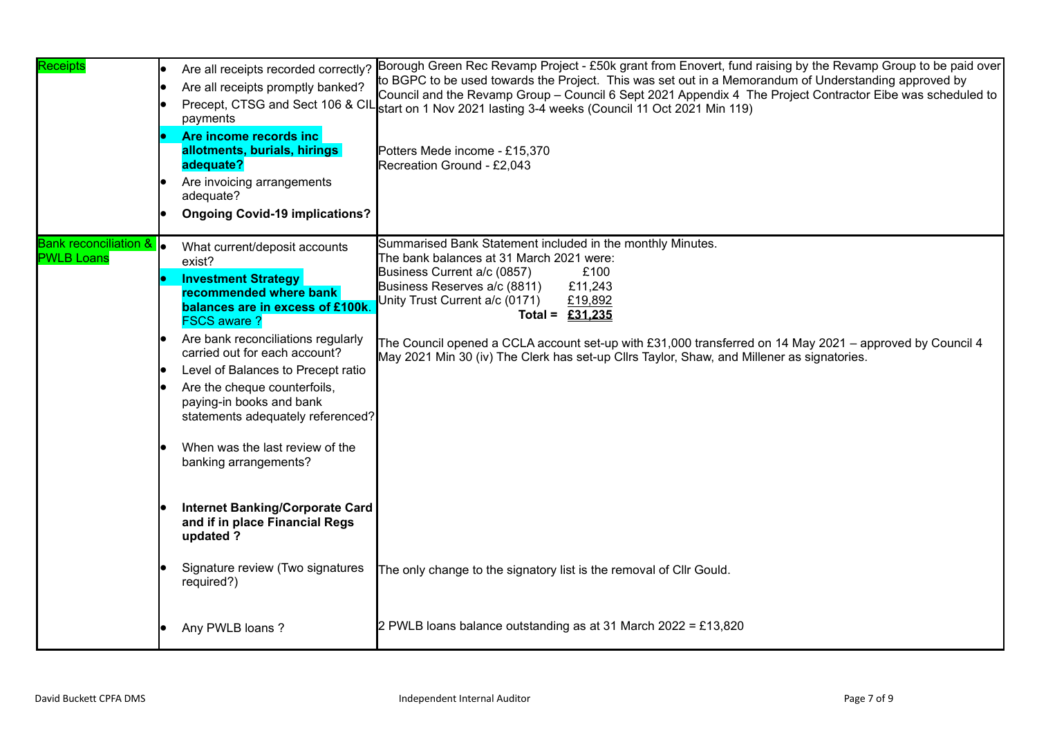| Receipts                                     | Are all receipts recorded correctly?<br>Are all receipts promptly banked?<br>payments<br>Are income records inc<br>allotments, burials, hirings<br>adequate?<br>Are invoicing arrangements<br>adequate?<br><b>Ongoing Covid-19 implications?</b>                                                                                                                                                                                                                                                                            | Borough Green Rec Revamp Project - £50k grant from Enovert, fund raising by the Revamp Group to be paid over<br>to BGPC to be used towards the Project. This was set out in a Memorandum of Understanding approved by<br>Council and the Revamp Group – Council 6 Sept 2021 Appendix 4 The Project Contractor Eibe was scheduled to<br>Precept, CTSG and Sect 106 & CIL start on 1 Nov 2021 lasting 3-4 weeks (Council 11 Oct 2021 Min 119)<br>Potters Mede income - £15,370<br>Recreation Ground - £2,043 |
|----------------------------------------------|-----------------------------------------------------------------------------------------------------------------------------------------------------------------------------------------------------------------------------------------------------------------------------------------------------------------------------------------------------------------------------------------------------------------------------------------------------------------------------------------------------------------------------|------------------------------------------------------------------------------------------------------------------------------------------------------------------------------------------------------------------------------------------------------------------------------------------------------------------------------------------------------------------------------------------------------------------------------------------------------------------------------------------------------------|
| Bank reconciliation &  <br><b>PWLB Loans</b> | What current/deposit accounts<br>exist?<br><b>Investment Strategy</b><br>recommended where bank<br>balances are in excess of £100k<br><b>FSCS aware?</b><br>Are bank reconciliations regularly<br>carried out for each account?<br>Level of Balances to Precept ratio<br>Are the cheque counterfoils,<br>paying-in books and bank<br>statements adequately referenced?<br>When was the last review of the<br>banking arrangements?<br><b>Internet Banking/Corporate Card</b><br>and if in place Financial Regs<br>updated ? | Summarised Bank Statement included in the monthly Minutes.<br>The bank balances at 31 March 2021 were:<br>Business Current a/c (0857)<br>£100<br>Business Reserves a/c (8811)<br>£11,243<br>Unity Trust Current a/c (0171)<br>£19,892<br>Total = $£31,235$<br>The Council opened a CCLA account set-up with £31,000 transferred on 14 May 2021 – approved by Council 4<br>May 2021 Min 30 (iv) The Clerk has set-up Cllrs Taylor, Shaw, and Millener as signatories.                                       |
|                                              | Signature review (Two signatures<br>required?)                                                                                                                                                                                                                                                                                                                                                                                                                                                                              | The only change to the signatory list is the removal of Cllr Gould.                                                                                                                                                                                                                                                                                                                                                                                                                                        |
|                                              | Any PWLB loans?                                                                                                                                                                                                                                                                                                                                                                                                                                                                                                             | 2 PWLB loans balance outstanding as at 31 March 2022 = £13,820                                                                                                                                                                                                                                                                                                                                                                                                                                             |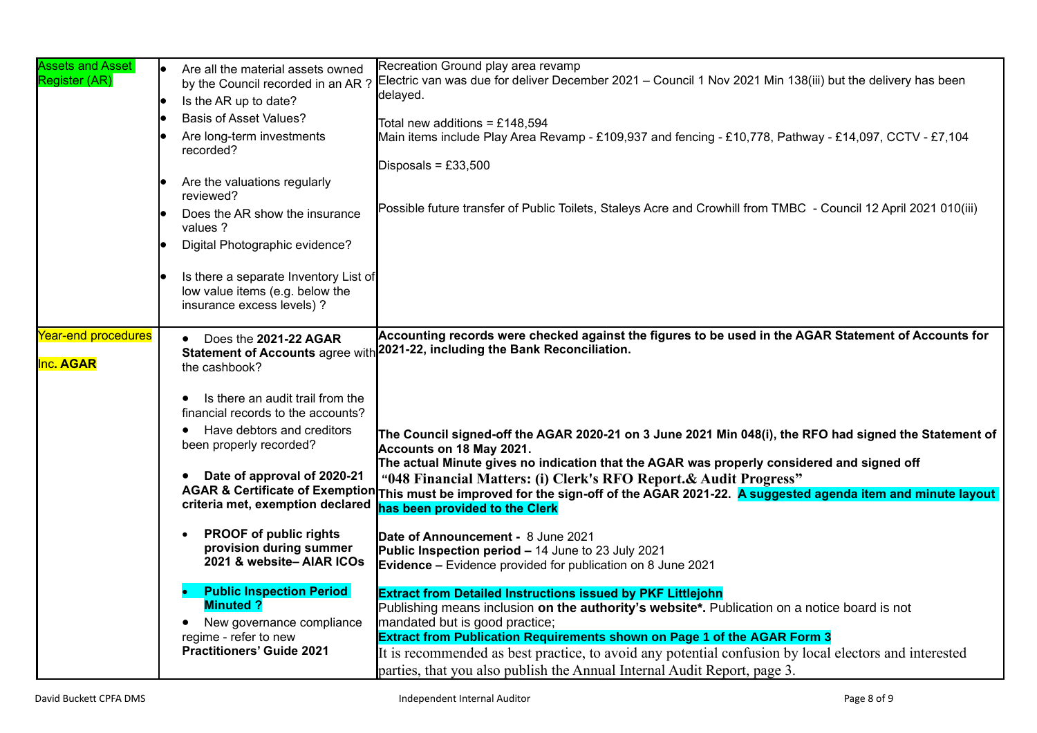| <b>Assets and Asset</b><br>Register (AR) | l. | Are all the material assets owned<br>by the Council recorded in an AR ?<br>Is the AR up to date?<br><b>Basis of Asset Values?</b><br>Are long-term investments<br>recorded?<br>Are the valuations regularly<br>reviewed?                                                                                                                                                                                                                                                                                                                | Recreation Ground play area revamp<br>Electric van was due for deliver December 2021 - Council 1 Nov 2021 Min 138(iii) but the delivery has been<br>delayed.<br>Total new additions = £148,594<br>Main items include Play Area Revamp - £109,937 and fencing - £10,778, Pathway - £14,097, CCTV - £7,104<br>Disposals = $£33,500$                                                                                                                                                                                                                                                                                                                                                                                                                                                                                                                                                                                                                                                                                                                                                                                                                                                                                                                                                   |
|------------------------------------------|----|-----------------------------------------------------------------------------------------------------------------------------------------------------------------------------------------------------------------------------------------------------------------------------------------------------------------------------------------------------------------------------------------------------------------------------------------------------------------------------------------------------------------------------------------|-------------------------------------------------------------------------------------------------------------------------------------------------------------------------------------------------------------------------------------------------------------------------------------------------------------------------------------------------------------------------------------------------------------------------------------------------------------------------------------------------------------------------------------------------------------------------------------------------------------------------------------------------------------------------------------------------------------------------------------------------------------------------------------------------------------------------------------------------------------------------------------------------------------------------------------------------------------------------------------------------------------------------------------------------------------------------------------------------------------------------------------------------------------------------------------------------------------------------------------------------------------------------------------|
|                                          |    | Does the AR show the insurance<br>values ?<br>Digital Photographic evidence?<br>Is there a separate Inventory List of<br>low value items (e.g. below the<br>insurance excess levels) ?                                                                                                                                                                                                                                                                                                                                                  | Possible future transfer of Public Toilets, Staleys Acre and Crowhill from TMBC - Council 12 April 2021 010(iii)                                                                                                                                                                                                                                                                                                                                                                                                                                                                                                                                                                                                                                                                                                                                                                                                                                                                                                                                                                                                                                                                                                                                                                    |
| Year-end procedures<br><b>Inc. AGAR</b>  |    | Does the 2021-22 AGAR<br>the cashbook?<br>Is there an audit trail from the<br>financial records to the accounts?<br>Have debtors and creditors<br>٠<br>been properly recorded?<br>Date of approval of 2020-21<br><b>AGAR &amp; Certificate of Exemption</b><br>criteria met, exemption declared<br><b>PROOF of public rights</b><br>provision during summer<br>2021 & website-AIAR ICOs<br><b>Public Inspection Period</b><br><b>Minuted?</b><br>New governance compliance<br>regime - refer to new<br><b>Practitioners' Guide 2021</b> | Accounting records were checked against the figures to be used in the AGAR Statement of Accounts for<br>Statement of Accounts agree with 2021-22, including the Bank Reconciliation.<br>The Council signed-off the AGAR 2020-21 on 3 June 2021 Min 048(i), the RFO had signed the Statement of<br>Accounts on 18 May 2021.<br>The actual Minute gives no indication that the AGAR was properly considered and signed off<br>"048 Financial Matters: (i) Clerk's RFO Report. & Audit Progress"<br>This must be improved for the sign-off of the AGAR 2021-22. A suggested agenda item and minute layout<br>has been provided to the Clerk<br>Date of Announcement - 8 June 2021<br>Public Inspection period - 14 June to 23 July 2021<br><b>Evidence -</b> Evidence provided for publication on 8 June 2021<br><b>Extract from Detailed Instructions issued by PKF Littlejohn</b><br>Publishing means inclusion on the authority's website*. Publication on a notice board is not<br>mandated but is good practice;<br>Extract from Publication Requirements shown on Page 1 of the AGAR Form 3<br>It is recommended as best practice, to avoid any potential confusion by local electors and interested<br>parties, that you also publish the Annual Internal Audit Report, page 3. |